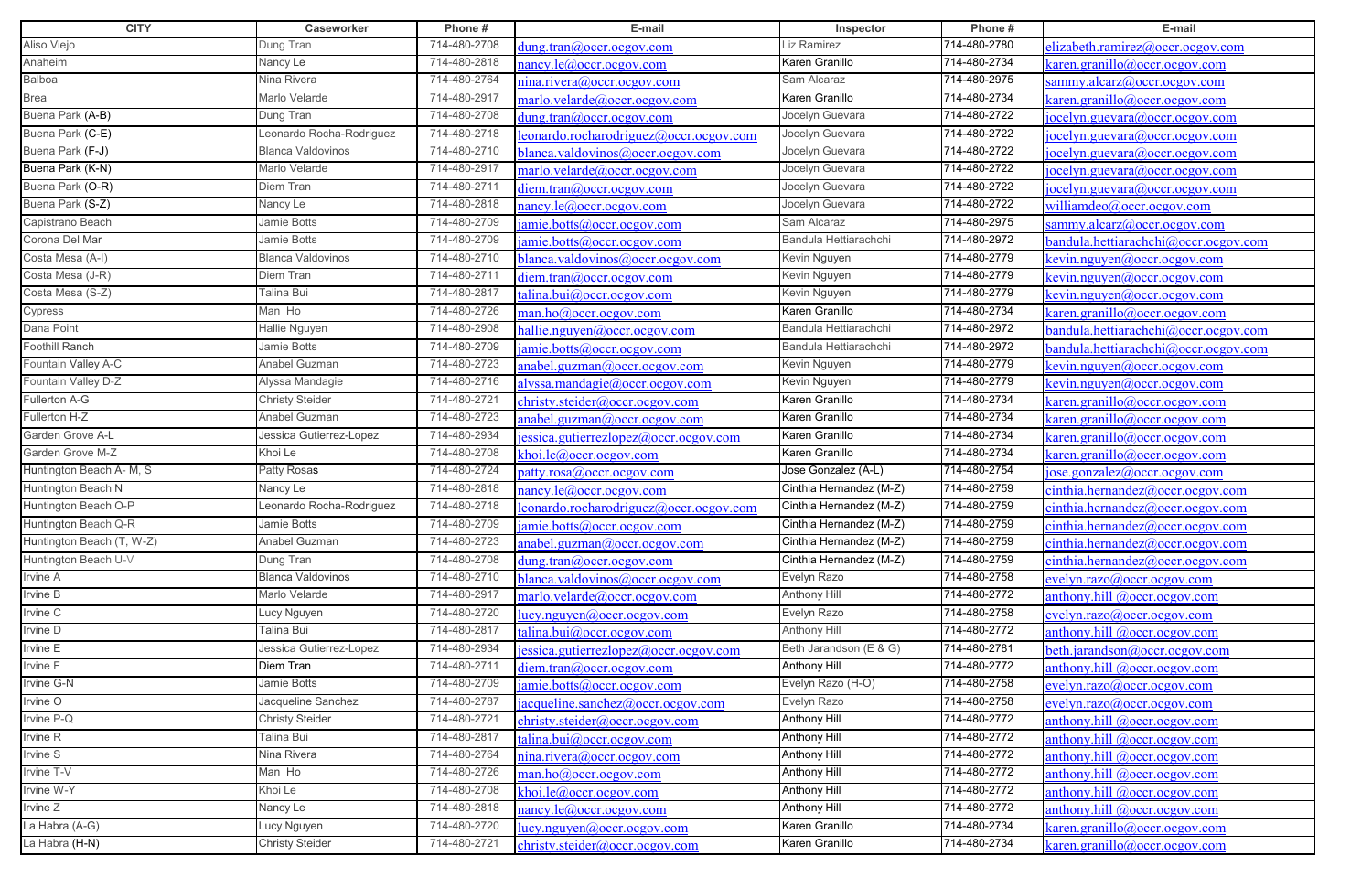| <b>CITY</b>               | Caseworker               | Phone#       | E-mail                                                  | Inspector               | Phone#       | E-mail                                      |
|---------------------------|--------------------------|--------------|---------------------------------------------------------|-------------------------|--------------|---------------------------------------------|
| Aliso Viejo               | Dung Tran                | 714-480-2708 | dung.tran@occr.ocgov.com                                | Liz Ramirez             | 714-480-2780 | elizabeth.ramirez@occr.ocgov.com            |
| Anaheim                   | Nancy Le                 | 714-480-2818 | $n$ ancy.le $@occr.$ ocgov.com                          | Karen Granillo          | 714-480-2734 | karen.granillo@occr.ocgov.com               |
| Balboa                    | Nina Rivera              | 714-480-2764 | nina.rivera@occr.ocgov.com                              | Sam Alcaraz             | 714-480-2975 | sammy.alcarz@occr.ocgov.com                 |
| Brea                      | Marlo Velarde            | 714-480-2917 | marlo <u>.velarde@occr.ocgov.com</u>                    | Karen Granillo          | 714-480-2734 | saren.granillo@occr.ocgov.com               |
| Buena Park (A-B)          | Dung Tran                | 714-480-2708 | dung.tran@occr.ocgov.com                                | Jocelyn Guevara         | 714-480-2722 | [ocelyn.guevara@occr.ocgov.com]             |
| Buena Park (C-E)          | Leonardo Rocha-Rodriguez | 714-480-2718 | eonardo.rocharodriguez@occr.ocgov.com                   | Jocelyn Guevara         | 714-480-2722 | ocelyn.guevara@occr.ocgov.com               |
| Buena Park (F-J)          | <b>Blanca Valdovinos</b> | 714-480-2710 | blanca.valdovinos@occr.ocgov.com                        | Jocelyn Guevara         | 714-480-2722 | [ocelyn.guevara@occr.ocgov.com]             |
| Buena Park (K-N)          | Marlo Velarde            | 714-480-2917 | marlo.velarde@occr.ocgov.com                            | Jocelyn Guevara         | 714-480-2722 | [ocelyn.guevara@occr.ocgov.com]             |
| Buena Park (O-R)          | Diem Tran                | 714-480-2711 | diem.tran@occr.ocgov.com                                | Jocelyn Guevara         | 714-480-2722 | ocelyn.guevara@occr.ocgov.com               |
| Buena Park (S-Z)          | Nancy Le                 | 714-480-2818 | nancy.le@occr.ocgov.com                                 | Jocelyn Guevara         | 714-480-2722 | williamdeo@occr.ocgov.com                   |
| Capistrano Beach          | Jamie Botts              | 714-480-2709 | amie.botts@occr.ocgov.com                               | Sam Alcaraz             | 714-480-2975 | ammy.alcarz@occr.ocgov.com                  |
| Corona Del Mar            | Jamie Botts              | 714-480-2709 | amie.botts@occr.ocgov.com                               | Bandula Hettiarachchi   | 714-480-2972 | vandula.hettiarachchi@occr.ocgov.com        |
| Costa Mesa (A-I)          | <b>Blanca Valdovinos</b> | 714-480-2710 | blanca.valdovinos@occr.ocgov.com                        | Kevin Nguyen            | 714-480-2779 | $\ker$ in.nguyen@occr.ocgov.com             |
| Costa Mesa (J-R)          | Diem Tran                | 714-480-2711 | diem.tran@occr.ocgov.com                                | Kevin Nguyen            | 714-480-2779 | <u>cevin.nguyen@occr.ocgov.com</u>          |
| Costa Mesa (S-Z)          | Talina Bui               | 714-480-2817 | talina.bui@occr.ocgov.com                               | Kevin Nguyen            | 714-480-2779 | kevin.nguyen@occr.ocgov.com                 |
| Cypress                   | Man Ho                   | 714-480-2726 | man.ho@occr.ocgov.com                                   | Karen Granillo          | 714-480-2734 | caren.granillo@occr.ocgov.com               |
| Dana Point                | <b>Hallie Nguyen</b>     | 714-480-2908 | hallie.nguyen@occr.ocgov.com                            | Bandula Hettiarachchi   | 714-480-2972 | pandula.hettiarachchi@occr.ocgov.com        |
| Foothill Ranch            | Jamie Botts              | 714-480-2709 | jamie.botts@occr.ocgov.com                              | Bandula Hettiarachchi   | 714-480-2972 | pandula.hettiarachchi@occr.ocgov.com        |
| Fountain Valley A-C       | Anabel Guzman            | 714-480-2723 | anabel.guzman@occr.ocgov.com                            | Kevin Nguyen            | 714-480-2779 | <u>cevin.nguyen@occr.ocgov.com</u>          |
| Fountain Valley D-Z       | Alyssa Mandagie          | 714-480-2716 | alyssa.mandagie@occr.ocgov.com                          | Kevin Nguyen            | 714-480-2779 | $\epsilon$ evin.nguyen@occr.ocgov.com       |
| Fullerton A-G             | <b>Christy Steider</b>   | 714-480-2721 | christy.steider@occr.ocgov.com                          | Karen Granillo          | 714-480-2734 | <u>caren.granillo@occr.ocgov.com</u>        |
| Fullerton H-Z             | Anabel Guzman            | 714-480-2723 | anabel.guzman@occr.ocgov.com                            | Karen Granillo          | 714-480-2734 | karen.granillo@occr.ocgov.com               |
| Garden Grove A-L          | Jessica Gutierrez-Lopez  | 714-480-2934 | jessica.gutierrezlopez@occr.ocgov.com                   | Karen Granillo          | 714-480-2734 | $\kappa$ aren.granillo@occr.ocgov.com       |
| Garden Grove M-Z          | Khoi Le                  | 714-480-2708 | $\frac{\text{choi. le}(a)\text{occr. ocgov.com}}{a}$    | Karen Granillo          | 714-480-2734 | <u>caren.granillo@occr.ocgov.com</u>        |
| Huntington Beach A- M, S  | Patty Rosas              | 714-480-2724 | patty.rosa@occr.ocgov.com                               | Jose Gonzalez (A-L)     | 714-480-2754 | ose.gonzalez@occr.ocgov.com                 |
| Huntington Beach N        | Nancy Le                 | 714-480-2818 | <u>ancy.le@occr.ocgov.com</u>                           | Cinthia Hernandez (M-Z) | 714-480-2759 | einthia.hernandez@occr.ocgov.com            |
| Huntington Beach O-P      | Leonardo Rocha-Rodriguez | 714-480-2718 | leonardo.rocharodriguez@occr.ocgov.com                  | Cinthia Hernandez (M-Z) | 714-480-2759 | einthia.hernandez@occr.ocgov.com            |
| Huntington Beach Q-R      | Jamie Botts              | 714-480-2709 | jamie.botts@occr.ocgov.com                              | Cinthia Hernandez (M-Z) | 714-480-2759 | cinthia. hernandez@occr.ocgov.com           |
| Huntington Beach (T, W-Z) | Anabel Guzman            | 714-480-2723 | anabel.guzman@occr.ocgov.com                            | Cinthia Hernandez (M-Z) | 714-480-2759 | cinthia.hernandez@occr. ocgov.com           |
| Huntington Beach U-V      | Dung Tran                | 714-480-2708 | dung.tran@occr.ocgov.com                                | Cinthia Hernandez (M-Z) | 714-480-2759 | einthia.hernandez@occr.ocgov.com            |
| Irvine A                  | <b>Blanca Valdovinos</b> | 714-480-2710 | blanca.valdovinos@occr.ocgov.com                        | Evelyn Razo             | 714-480-2758 | evelyn.razo@occr.ocgov.com                  |
| Irvine B                  | Marlo Velarde            | 714-480-2917 | marlo.velarde@occr.ocgov.com                            | <b>Anthony Hill</b>     | 714-480-2772 | anthony.hill $@occr. ocgov.com$             |
| Irvine C                  | Lucy Nguyen              | 714-480-2720 | lucy.nguyen@occr.ocgov.com                              | Evelyn Razo             | 714-480-2758 | evelyn.razo@occr.ocgov.com                  |
| Irvine D                  | Talina Bui               | 714-480-2817 | talina.bui@occr.ocgov.com                               | Anthony Hill            | 714-480-2772 | anthony.hill @occr.ocgov.com                |
| Irvine E                  | Jessica Gutierrez-Lopez  | 714-480-2934 | <u>jessica.gutierrezlopez@occr.ocgov.com</u>            | Beth Jarandson (E & G)  | 714-480-2781 | beth.jarandson@occr.ocgov.com               |
| Irvine F                  | Diem Tran                | 714-480-2711 | diem.tran@occr.ocgov.com                                | Anthony Hill            | 714-480-2772 | anthony.hill $@occr. ocgov.com$             |
| Irvine G-N                | Jamie Botts              | 714-480-2709 | amie.botts@occr.ocgov.com                               | Evelyn Razo (H-O)       | 714-480-2758 | $e$ velyn.razo@occr.ocgov.com               |
| Irvine O                  | Jacqueline Sanchez       | 714-480-2787 | $\alpha$ acqueline.sanchez@occr.ocgov.com               | Evelyn Razo             | 714-480-2758 | $e$ velyn.razo@occr.ocgov.com               |
| Irvine P-Q                | <b>Christy Steider</b>   | 714-480-2721 | christy.steider@occr.ocgov.com                          | <b>Anthony Hill</b>     | 714-480-2772 | anthony.hill @occr.ocgov.com                |
| Irvine R                  | Talina Bui               | 714-480-2817 | calina.bui@occr.ocgov.com                               | <b>Anthony Hill</b>     | 714-480-2772 | anthony.hill $@occr. ocgov.com$             |
| Irvine S                  | Nina Rivera              | 714-480-2764 | nina.rivera@occr.ocgov.com                              | <b>Anthony Hill</b>     | 714-480-2772 | anthony.hill @occr.ocgov.com                |
| Irvine T-V                | Man Ho                   | 714-480-2726 | man.ho@occr.ocgov.com                                   | <b>Anthony Hill</b>     | 714-480-2772 | anthony.hill $@occr. ocgov.com$             |
| Irvine W-Y                | Khoi Le                  | 714-480-2708 | khoi.le@occr.ocgov.com                                  | <b>Anthony Hill</b>     | 714-480-2772 | anthony.hill @occr.ocgov.com                |
| Irvine Z                  | Nancy Le                 | 714-480-2818 | nancy.le@occr.ocgov.com                                 | <b>Anthony Hill</b>     | 714-480-2772 | anthony.hill @occr.ocgov.com                |
| La Habra (A-G)            | Lucy Nguyen              | 714-480-2720 | $\frac{\text{lucy.nguyen}(a) \text{occr.ocgov.com}}{a}$ | Karen Granillo          | 714-480-2734 | $\frac{1}{2}$ caren.granillo@occr.ocgov.com |
| La Habra (H-N)            | <b>Christy Steider</b>   | 714-480-2721 | christy.steider@occr.ocgov.com                          | Karen Granillo          | 714-480-2734 | caren.granillo@occr.ocgov.com               |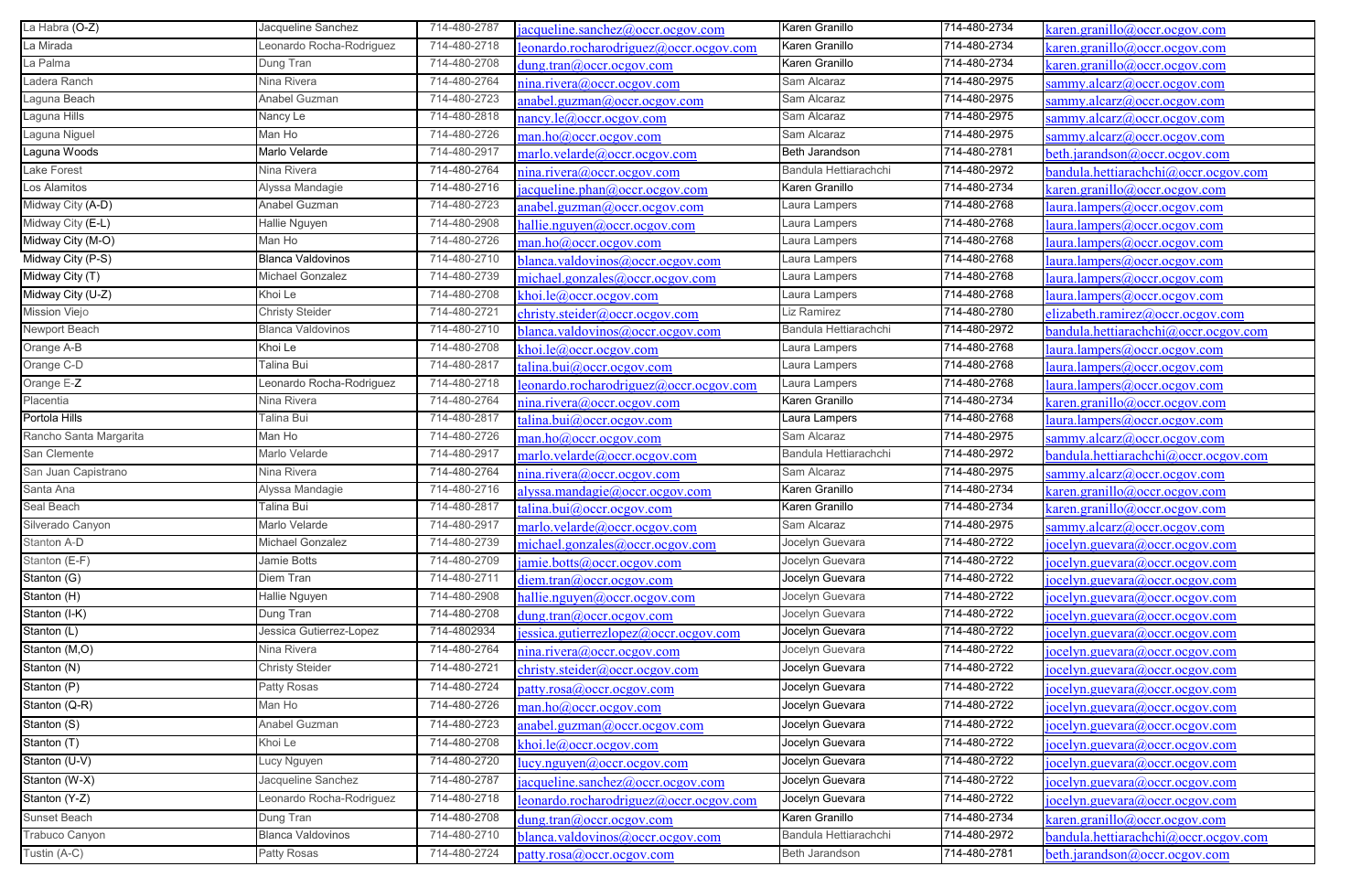| La Habra (O-Z)                   | Jacqueline Sanchez       | 714-480-2787 | acqueline.sanchez@occr.ocgov.com          | Karen Granillo        | 714-480-2734 | saren.granillo@occr.ocgov.com              |
|----------------------------------|--------------------------|--------------|-------------------------------------------|-----------------------|--------------|--------------------------------------------|
| La Mirada                        | Leonardo Rocha-Rodriguez | 714-480-2718 | eonardo.rocharodriguez@occr.ocgov.com     | Karen Granillo        | 714-480-2734 | karen.granillo@occr.ocgov.com              |
| La Palma                         | Dung Tran                | 714-480-2708 | $d$ ung.tran@occr.ocgov.com               | Karen Granillo        | 714-480-2734 | $\frac{1}{2}$ aren.granillo@occr.ocgov.com |
| Ladera Ranch                     | Nina Rivera              | 714-480-2764 | nina.rivera@occr.ocgov.com                | Sam Alcaraz           | 714-480-2975 | sammy.alcarz@occr.ocgov.com                |
| Laguna Beach                     | Anabel Guzman            | 714-480-2723 | anabel.guzman@occr.ocgov.com              | Sam Alcaraz           | 714-480-2975 | sammy.alcarz@occr.ocgov.com                |
| Laguna Hills                     | Nancy Le                 | 714-480-2818 | nancy.le@occr.ocgov.com                   | Sam Alcaraz           | 714-480-2975 | sammy.alcarz@occr.ocgov.com                |
| Laguna Niguel                    | Man Ho                   | 714-480-2726 | man.ho@occr.ocgov.com                     | Sam Alcaraz           | 714-480-2975 | sammy.alcarz@occr.ocgov.com                |
| Laguna Woods                     | Marlo Velarde            | 714-480-2917 | marlo.velarde@occr.ocgov.com              | Beth Jarandson        | 714-480-2781 | beth.jarandson@occr.ocgov.com              |
| Lake Forest                      | Nina Rivera              | 714-480-2764 | nina.rivera@occr.ocgov.com                | Bandula Hettiarachchi | 714-480-2972 | bandula.hettiarachchi@occr.ocgov.com       |
| Los Alamitos                     | Alyssa Mandagie          | 714-480-2716 | acqueline.phan@occr.ocgov.com             | Karen Granillo        | 714-480-2734 | caren.granillo@occr.ocgov.com              |
| Midway City (A-D)                | Anabel Guzman            | 714-480-2723 | anabel.guzman@occr.ocgov.com              | Laura Lampers         | 714-480-2768 | aura.lampers@occr.ocgov.com                |
| Midway City (E-L)                | Hallie Nguyen            | 714-480-2908 | nallie.nguyen@occr.ocgov.com              | Laura Lampers         | 714-480-2768 | laura.lampers@occr.ocgov.com               |
| Midway City (M-O)                | Man Ho                   | 714-480-2726 | man.ho@occr.ocgov.com                     | Laura Lampers         | 714-480-2768 | laura.lampers@occr.ocgov.com               |
| Midway City (P-S)                | <b>Blanca Valdovinos</b> | 714-480-2710 | blanca.valdovinos@occr.ocgov.com          | Laura Lampers         | 714-480-2768 | laura.lampers@occr.ocgov.com               |
| Midway City (T)                  | Michael Gonzalez         | 714-480-2739 | michael.gonzales@occr.ocgov.com           | Laura Lampers         | 714-480-2768 | laura.lampers@occr.ocgov.com               |
| Midway City (U-Z)                | Khoi Le                  | 714-480-2708 | khoi.le@occr.ocgov.com                    | Laura Lampers         | 714-480-2768 | laura.lampers@occr.ocgov.com               |
| Mission Viejo                    | <b>Christy Steider</b>   | 714-480-2721 | christy.steider@occr.ocgov.com            | Liz Ramirez           | 714-480-2780 | elizabeth.ramirez@occr.ocgov.com           |
| Newport Beach                    | <b>Blanca Valdovinos</b> | 714-480-2710 | blanca.valdovinos@occr.ocgov.com          | Bandula Hettiarachchi | 714-480-2972 | bandula.hettiarachchi@occr.ocgov.com       |
| Orange A-B                       | Khoi Le                  | 714-480-2708 | khoi.le@occr.ocgov.com                    | Laura Lampers         | 714-480-2768 | laura.lampers@occr.ocgov.com               |
| Orange C-D                       | Talina Bui               | 714-480-2817 | $\alpha$ lina.bui $\omega$ occr.ocgov.com | Laura Lampers         | 714-480-2768 | laura.lampers@occr.ocgov.com               |
| Orange E-Z                       | Leonardo Rocha-Rodriguez | 714-480-2718 | eonardo.rocharodriguez@occr.ocgov.com     | Laura Lampers         | 714-480-2768 | laura.lampers@occr.ocgov.com               |
| Placentia                        | Nina Rivera              | 714-480-2764 | nina.rivera@occr.ocgov.com                | Karen Granillo        | 714-480-2734 | <u>caren.granillo@occr.ocgov.com</u>       |
| Portola Hills                    | Talina Bui               | 714-480-2817 | $talian. \text{bui@occr.ocgov.com}$       | Laura Lampers         | 714-480-2768 | laura.lampers@occr.ocgov.com               |
| Rancho Santa Margarita           | Man Ho                   | 714-480-2726 | man.ho@occr. ocgov.com                    | Sam Alcaraz           | 714-480-2975 | sammy.alcarz@occr.ocgov.com                |
| San Clemente                     | Marlo Velarde            | 714-480-2917 | marlo.velarde@occr.ocgov.com              | Bandula Hettiarachchi | 714-480-2972 | bandula.hettiarachchi@occr.ocgov.com       |
| San Juan Capistrano              | Nina Rivera              | 714-480-2764 | nina.rivera@occr.ocgov.com                | Sam Alcaraz           | 714-480-2975 | sammy.alcarz@occr.ocgov.com                |
| Santa Ana                        | Alyssa Mandagie          | 714-480-2716 | alyssa.mandagie@occr.ocgov.com            | Karen Granillo        | 714-480-2734 | $\alpha$ aren.granillo@occr.ocgov.com      |
| Seal Beach                       | Talina Bui               | 714-480-2817 | talina.bui@occr.ocgov.com                 | Karen Granillo        | 714-480-2734 | $\alpha$ aren.granillo@occr.ocgov.com      |
| Silverado Canyon                 | Marlo Velarde            | 714-480-2917 | marlo.velarde@occr.ocgov.com              | Sam Alcaraz           | 714-480-2975 | sammy.alcarz@occr.ocgov.com                |
| Stanton A-D                      | Michael Gonzalez         | 714-480-2739 | michael.gonzales@occr.ocgov.com           | Jocelyn Guevara       | 714-480-2722 | jocelyn.guevara@occr.ocgov.com             |
| Stanton (E-F)                    | Jamie Botts              | 714-480-2709 | amie.botts@occr.ocgov.com                 | Jocelyn Guevara       | 714-480-2722 | jocelyn.guevara@occr.ocgov.com             |
| Stanton (G)                      | Diem Tran                | 714-480-2711 | diem.tran@occr.ocgov.com                  | Jocelyn Guevara       | 714-480-2722 | jocelyn.guevara@occr.ocgov.com             |
| Stanton $(H)$                    | Hallie Nguyen            | 714-480-2908 | hallie.nguyen@occr.ocgov.com              | Jocelyn Guevara       | 714-480-2722 | jocelyn.guevara@occr.ocgov.com             |
| Stanton (I-K)                    | Dung Tran                | 714-480-2708 | dung.tran@occr.ocgov.com                  | Jocelyn Guevara       | 714-480-2722 | jocelyn.guevara@occr.ocgov.com             |
| $\overline{\mathsf{Stanton}}(L)$ | Jessica Gutierrez-Lopez  | 714-4802934  | essica.gutierrezlopez@occr.ocgov.com      | Jocelyn Guevara       | 714-480-2722 | jocelyn.guevara@occr.ocgov.com             |
| Stanton (M,O)                    | Nina Rivera              | 714-480-2764 | $n$ ina.rivera $(a)$ occr.ocgov.com       | Jocelyn Guevara       | 714-480-2722 | jocelyn.guevara@occr.ocgov.com             |
| Stanton (N)                      | <b>Christy Steider</b>   | 714-480-2721 | christy.steider@occr.ocgov.com            | Jocelyn Guevara       | 714-480-2722 | jocelyn.guevara@occr.ocgov.com             |
| Stanton $(P)$                    | Patty Rosas              | 714-480-2724 | patty, rosa@occr. ocgov.com               | Jocelyn Guevara       | 714-480-2722 | [iocelyn.guevara@occr. ocgov.com]          |
| Stanton (Q-R)                    | Man Ho                   | 714-480-2726 | man.ho@occr. ocgov.com                    | Jocelyn Guevara       | 714-480-2722 | jocelyn.guevara@occr.ocgov.com             |
| Stanton (S)                      | Anabel Guzman            | 714-480-2723 | anabel.guzman@occr.ocgov.com              | Jocelyn Guevara       | 714-480-2722 | jocelyn.guevara@occr.ocgov.com             |
| Stanton (T)                      | Khoi Le                  | 714-480-2708 | choi.le@occr.ocgov.com                    | Jocelyn Guevara       | 714-480-2722 | jocelyn.guevara@occr.ocgov.com             |
| Stanton (U-V)                    | Lucy Nguyen              | 714-480-2720 | lucy.nguyen@occr.ocgov.com                | Jocelyn Guevara       | 714-480-2722 | jocelyn.guevara@occr.ocgov.com             |
| Stanton (W-X)                    | Jacqueline Sanchez       | 714-480-2787 | acqueline.sanchez@occr.ocgov.com          | Jocelyn Guevara       | 714-480-2722 | jocelyn.guevara@occr.ocgov.com             |
| Stanton (Y-Z)                    | Leonardo Rocha-Rodriguez | 714-480-2718 | eonardo.rocharodriguez@occr.ocgov.com     | Jocelyn Guevara       | 714-480-2722 | jocelyn.guevara@occr.ocgov.com             |
| Sunset Beach                     | Dung Tran                | 714-480-2708 | $d$ ung.tran $@occr. ocgov.com$           | Karen Granillo        | 714-480-2734 | $\kappa$ aren.granillo@occr.ocgov.com      |
| Trabuco Canyon                   | <b>Blanca Valdovinos</b> | 714-480-2710 | blanca.valdovinos@occr.ocgov.com          | Bandula Hettiarachchi | 714-480-2972 | bandula.hettiarachchi@occr.ocgov.com       |
| Tustin (A-C)                     | Patty Rosas              | 714-480-2724 | patty.rosa@occr.ocgov.com                 | Beth Jarandson        | 714-480-2781 | beth.jarandson@occr.ocgov.com              |